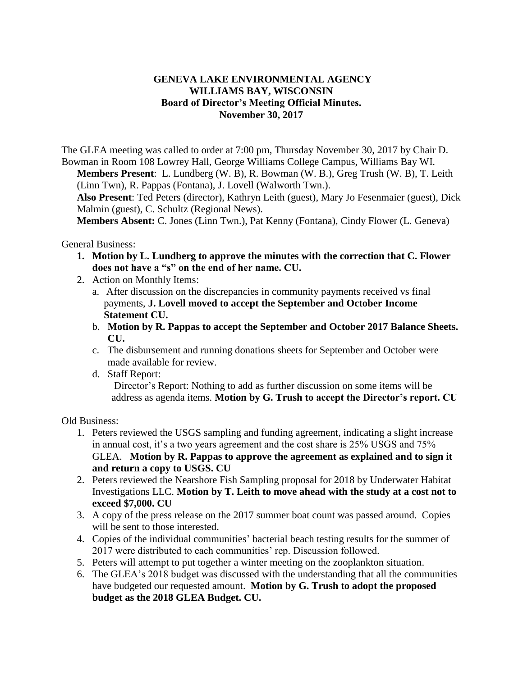## **GENEVA LAKE ENVIRONMENTAL AGENCY WILLIAMS BAY, WISCONSIN Board of Director's Meeting Official Minutes. November 30, 2017**

The GLEA meeting was called to order at 7:00 pm, Thursday November 30, 2017 by Chair D. Bowman in Room 108 Lowrey Hall, George Williams College Campus, Williams Bay WI. **Members Present**: L. Lundberg (W. B), R. Bowman (W. B.), Greg Trush (W. B), T. Leith

(Linn Twn), R. Pappas (Fontana), J. Lovell (Walworth Twn.). **Also Present**: Ted Peters (director), Kathryn Leith (guest), Mary Jo Fesenmaier (guest), Dick

Malmin (guest), C. Schultz (Regional News).

**Members Absent:** C. Jones (Linn Twn.), Pat Kenny (Fontana), Cindy Flower (L. Geneva)

General Business:

- **1. Motion by L. Lundberg to approve the minutes with the correction that C. Flower does not have a "s" on the end of her name. CU.**
- 2. Action on Monthly Items:
	- a. After discussion on the discrepancies in community payments received vs final payments, **J. Lovell moved to accept the September and October Income Statement CU.**
	- b. **Motion by R. Pappas to accept the September and October 2017 Balance Sheets. CU.**
	- c. The disbursement and running donations sheets for September and October were made available for review.
	- d. Staff Report:

Director's Report: Nothing to add as further discussion on some items will be address as agenda items. **Motion by G. Trush to accept the Director's report. CU** 

Old Business:

- 1. Peters reviewed the USGS sampling and funding agreement, indicating a slight increase in annual cost, it's a two years agreement and the cost share is 25% USGS and 75% GLEA. **Motion by R. Pappas to approve the agreement as explained and to sign it and return a copy to USGS. CU**
- 2. Peters reviewed the Nearshore Fish Sampling proposal for 2018 by Underwater Habitat Investigations LLC. **Motion by T. Leith to move ahead with the study at a cost not to exceed \$7,000. CU**
- 3. A copy of the press release on the 2017 summer boat count was passed around. Copies will be sent to those interested.
- 4. Copies of the individual communities' bacterial beach testing results for the summer of 2017 were distributed to each communities' rep. Discussion followed.
- 5. Peters will attempt to put together a winter meeting on the zooplankton situation.
- 6. The GLEA's 2018 budget was discussed with the understanding that all the communities have budgeted our requested amount. **Motion by G. Trush to adopt the proposed budget as the 2018 GLEA Budget. CU.**